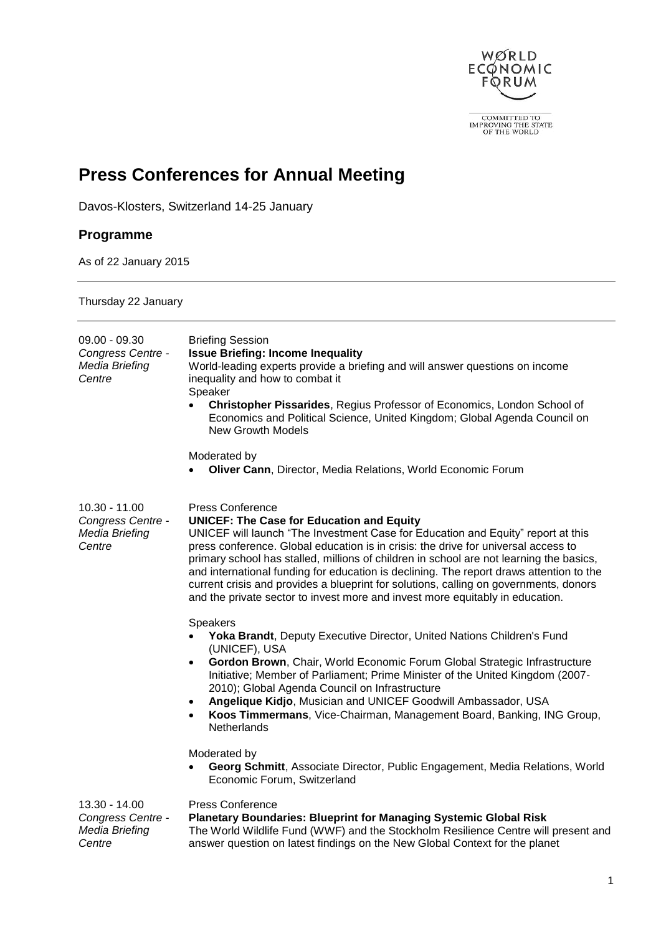

 $\fbox{\parbox{2.5cm} \begin{tabular}{c} \multicolumn{2}{c}{\multicolumn{2}{c}{\multicolumn{2}{c}{\text{COMMITIED TO}}}\\ \multicolumn{2}{c}{IMPROVING THE STATE}\\ \multicolumn{2}{c}{OF THE WORLD} \end{tabular}}$ 

# **Press Conferences for Annual Meeting**

Davos-Klosters, Switzerland 14-25 January

## **Programme**

As of 22 January 2015

### Thursday 22 January

| $09.00 - 09.30$<br>Congress Centre -<br>Media Briefing<br>Centre | <b>Briefing Session</b><br><b>Issue Briefing: Income Inequality</b><br>World-leading experts provide a briefing and will answer questions on income<br>inequality and how to combat it<br>Speaker<br>Christopher Pissarides, Regius Professor of Economics, London School of<br>$\bullet$<br>Economics and Political Science, United Kingdom; Global Agenda Council on<br><b>New Growth Models</b><br>Moderated by<br>Oliver Cann, Director, Media Relations, World Economic Forum<br>$\bullet$                                                                                                                       |
|------------------------------------------------------------------|-----------------------------------------------------------------------------------------------------------------------------------------------------------------------------------------------------------------------------------------------------------------------------------------------------------------------------------------------------------------------------------------------------------------------------------------------------------------------------------------------------------------------------------------------------------------------------------------------------------------------|
| $10.30 - 11.00$<br>Congress Centre -<br>Media Briefing<br>Centre | <b>Press Conference</b><br><b>UNICEF: The Case for Education and Equity</b><br>UNICEF will launch "The Investment Case for Education and Equity" report at this<br>press conference. Global education is in crisis: the drive for universal access to<br>primary school has stalled, millions of children in school are not learning the basics,<br>and international funding for education is declining. The report draws attention to the<br>current crisis and provides a blueprint for solutions, calling on governments, donors<br>and the private sector to invest more and invest more equitably in education. |
|                                                                  | <b>Speakers</b><br>Yoka Brandt, Deputy Executive Director, United Nations Children's Fund<br>$\bullet$<br>(UNICEF), USA<br>Gordon Brown, Chair, World Economic Forum Global Strategic Infrastructure<br>$\bullet$<br>Initiative; Member of Parliament; Prime Minister of the United Kingdom (2007-<br>2010); Global Agenda Council on Infrastructure<br>Angelique Kidjo, Musician and UNICEF Goodwill Ambassador, USA<br>$\bullet$<br>Koos Timmermans, Vice-Chairman, Management Board, Banking, ING Group,<br>$\bullet$<br>Netherlands                                                                               |
|                                                                  | Moderated by<br>Georg Schmitt, Associate Director, Public Engagement, Media Relations, World<br>Economic Forum, Switzerland                                                                                                                                                                                                                                                                                                                                                                                                                                                                                           |
| $13.30 - 14.00$<br>Congress Centre -<br>Media Briefing<br>Centre | <b>Press Conference</b><br><b>Planetary Boundaries: Blueprint for Managing Systemic Global Risk</b><br>The World Wildlife Fund (WWF) and the Stockholm Resilience Centre will present and<br>answer question on latest findings on the New Global Context for the planet                                                                                                                                                                                                                                                                                                                                              |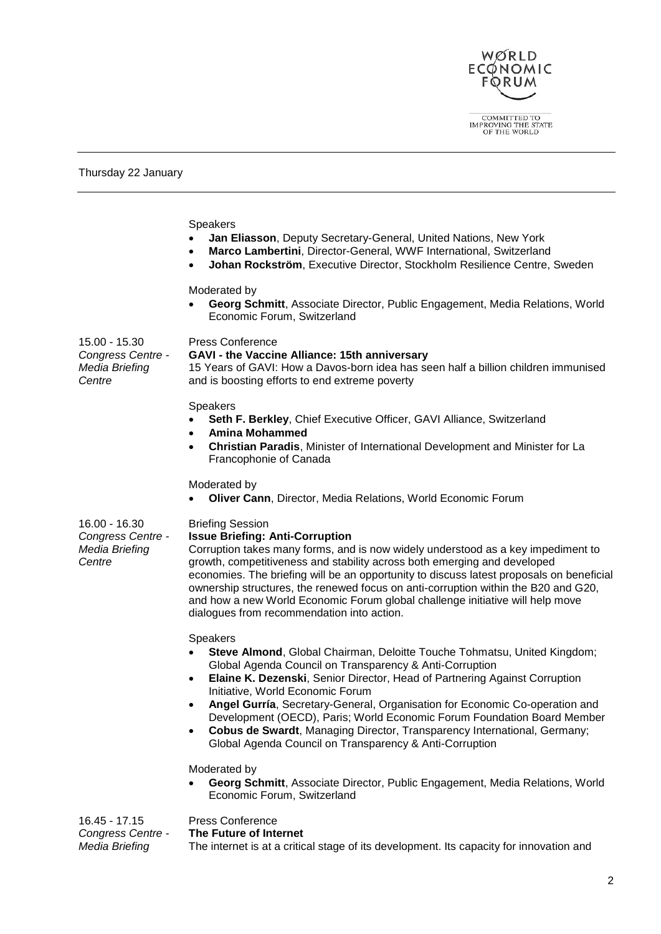

 $\fbox{\parbox{2.5cm}{{\bf COMMITTED~TO}}\begin{tabular}{l} \bf COMMITTED~TO \\ \bf IMPROVING THE STATE \\ \bf OF THE WORLD \end{tabular}$ 

Thursday 22 January

*Media Briefing* 

|                                                                | <b>Speakers</b><br>Jan Eliasson, Deputy Secretary-General, United Nations, New York<br>Marco Lambertini, Director-General, WWF International, Switzerland<br>$\bullet$<br>Johan Rockström, Executive Director, Stockholm Resilience Centre, Sweden<br>$\bullet$                                                                                                                                                                                                                                                                                                                              |
|----------------------------------------------------------------|----------------------------------------------------------------------------------------------------------------------------------------------------------------------------------------------------------------------------------------------------------------------------------------------------------------------------------------------------------------------------------------------------------------------------------------------------------------------------------------------------------------------------------------------------------------------------------------------|
|                                                                | Moderated by<br>Georg Schmitt, Associate Director, Public Engagement, Media Relations, World<br>Economic Forum, Switzerland                                                                                                                                                                                                                                                                                                                                                                                                                                                                  |
| 15.00 - 15.30<br>Congress Centre -<br>Media Briefing<br>Centre | <b>Press Conference</b><br>GAVI - the Vaccine Alliance: 15th anniversary<br>15 Years of GAVI: How a Davos-born idea has seen half a billion children immunised<br>and is boosting efforts to end extreme poverty                                                                                                                                                                                                                                                                                                                                                                             |
|                                                                | Speakers<br>Seth F. Berkley, Chief Executive Officer, GAVI Alliance, Switzerland<br><b>Amina Mohammed</b><br>$\bullet$<br>Christian Paradis, Minister of International Development and Minister for La<br>$\bullet$<br>Francophonie of Canada                                                                                                                                                                                                                                                                                                                                                |
|                                                                | Moderated by<br>Oliver Cann, Director, Media Relations, World Economic Forum                                                                                                                                                                                                                                                                                                                                                                                                                                                                                                                 |
| 16.00 - 16.30<br>Congress Centre -<br>Media Briefing<br>Centre | <b>Briefing Session</b><br><b>Issue Briefing: Anti-Corruption</b><br>Corruption takes many forms, and is now widely understood as a key impediment to<br>growth, competitiveness and stability across both emerging and developed<br>economies. The briefing will be an opportunity to discuss latest proposals on beneficial<br>ownership structures, the renewed focus on anti-corruption within the B20 and G20,<br>and how a new World Economic Forum global challenge initiative will help move<br>dialogues from recommendation into action.                                           |
|                                                                | Speakers<br>Steve Almond, Global Chairman, Deloitte Touche Tohmatsu, United Kingdom;<br>Global Agenda Council on Transparency & Anti-Corruption<br>Elaine K. Dezenski, Senior Director, Head of Partnering Against Corruption<br>$\bullet$<br>Initiative, World Economic Forum<br>Angel Gurría, Secretary-General, Organisation for Economic Co-operation and<br>Development (OECD), Paris; World Economic Forum Foundation Board Member<br>Cobus de Swardt, Managing Director, Transparency International, Germany;<br>$\bullet$<br>Global Agenda Council on Transparency & Anti-Corruption |
|                                                                | Moderated by<br>Georg Schmitt, Associate Director, Public Engagement, Media Relations, World<br>Economic Forum, Switzerland                                                                                                                                                                                                                                                                                                                                                                                                                                                                  |
| 16.45 - 17.15<br>Congress Centre -                             | <b>Press Conference</b><br>The Future of Internet                                                                                                                                                                                                                                                                                                                                                                                                                                                                                                                                            |

**The Future of Internet** The internet is at a critical stage of its development. Its capacity for innovation and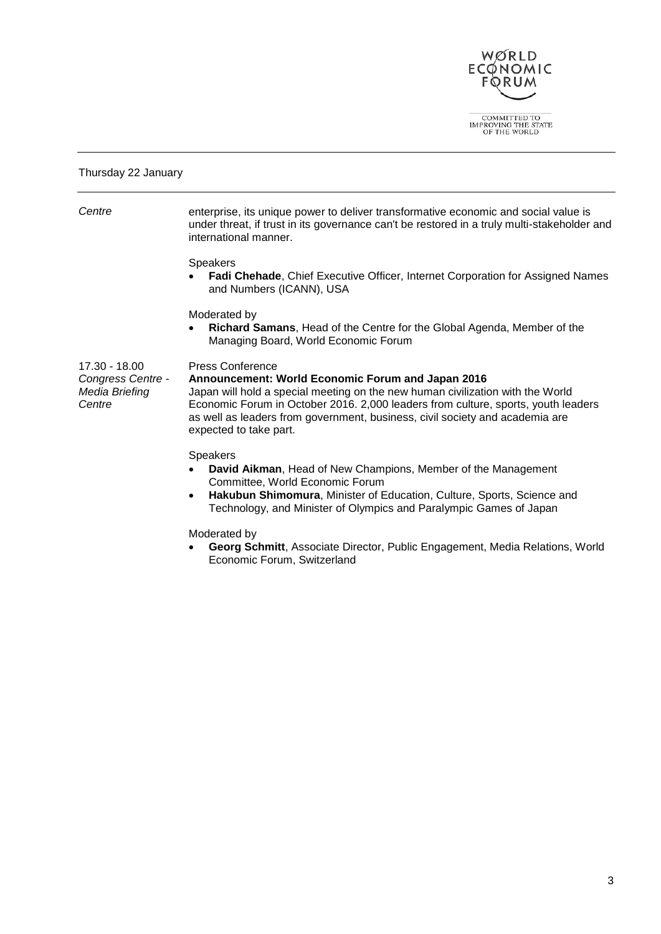

 $\fbox{\parbox{2.5cm}{{\bf COMMITTED~TO}}\begin{tabular}{l} \bf COMMITTED~TO \\ \bf IMPROVING THE STATE \\ \bf OF THE WORLD \end{tabular}$ 

#### Thursday 22 January

| Centre                                                         | enterprise, its unique power to deliver transformative economic and social value is<br>under threat, if trust in its governance can't be restored in a truly multi-stakeholder and<br>international manner.                                                                                                                                                   |
|----------------------------------------------------------------|---------------------------------------------------------------------------------------------------------------------------------------------------------------------------------------------------------------------------------------------------------------------------------------------------------------------------------------------------------------|
|                                                                | <b>Speakers</b><br>Fadi Chehade, Chief Executive Officer, Internet Corporation for Assigned Names<br>and Numbers (ICANN), USA                                                                                                                                                                                                                                 |
|                                                                | Moderated by<br>Richard Samans, Head of the Centre for the Global Agenda, Member of the<br>$\bullet$<br>Managing Board, World Economic Forum                                                                                                                                                                                                                  |
| 17.30 - 18.00<br>Congress Centre -<br>Media Briefing<br>Centre | <b>Press Conference</b><br>Announcement: World Economic Forum and Japan 2016<br>Japan will hold a special meeting on the new human civilization with the World<br>Economic Forum in October 2016. 2,000 leaders from culture, sports, youth leaders<br>as well as leaders from government, business, civil society and academia are<br>expected to take part. |
|                                                                | <b>Speakers</b><br>David Aikman, Head of New Champions, Member of the Management<br>Committee, World Economic Forum<br>Hakubun Shimomura, Minister of Education, Culture, Sports, Science and<br>$\bullet$<br>Technology, and Minister of Olympics and Paralympic Games of Japan                                                                              |
|                                                                | Moderated by                                                                                                                                                                                                                                                                                                                                                  |

 **Georg Schmitt**, Associate Director, Public Engagement, Media Relations, World Economic Forum, Switzerland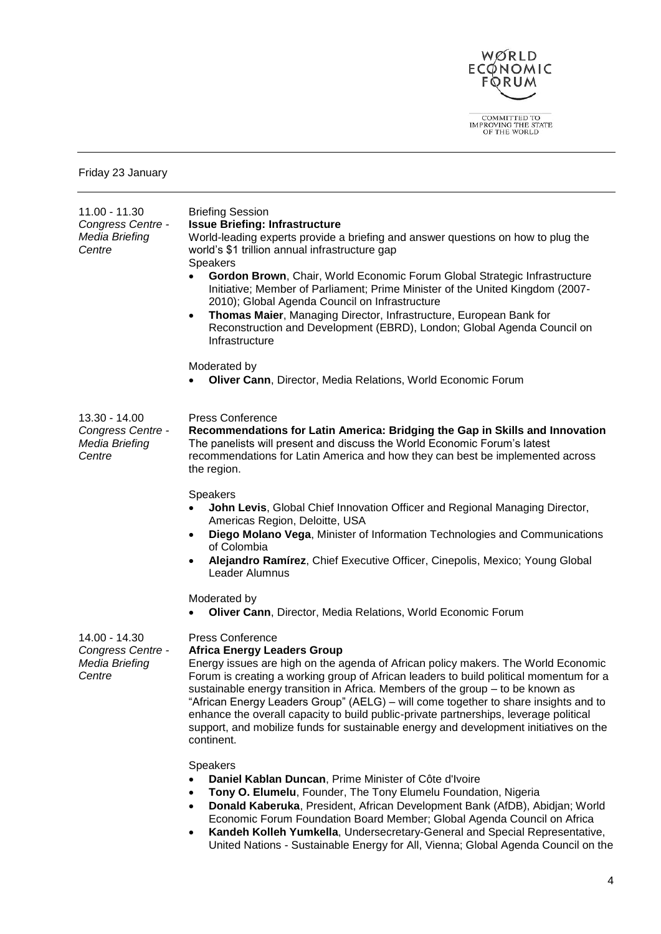

 $\fbox{\parbox{2.5cm}{{\bf COMMITTED~TO}}\begin{tabular}{l} \bf COMMITTED~TO \\ \bf IMPROVING THE STATE \\ \bf OF THE WORLD \end{tabular}$ 

Friday 23 January

| 11.00 - 11.30<br>Congress Centre -<br>Media Briefing<br>Centre | <b>Briefing Session</b><br><b>Issue Briefing: Infrastructure</b><br>World-leading experts provide a briefing and answer questions on how to plug the<br>world's \$1 trillion annual infrastructure gap<br><b>Speakers</b><br>Gordon Brown, Chair, World Economic Forum Global Strategic Infrastructure<br>Initiative; Member of Parliament; Prime Minister of the United Kingdom (2007-<br>2010); Global Agenda Council on Infrastructure<br>Thomas Maier, Managing Director, Infrastructure, European Bank for<br>$\bullet$                                                                                          |
|----------------------------------------------------------------|-----------------------------------------------------------------------------------------------------------------------------------------------------------------------------------------------------------------------------------------------------------------------------------------------------------------------------------------------------------------------------------------------------------------------------------------------------------------------------------------------------------------------------------------------------------------------------------------------------------------------|
|                                                                | Reconstruction and Development (EBRD), London; Global Agenda Council on<br>Infrastructure                                                                                                                                                                                                                                                                                                                                                                                                                                                                                                                             |
|                                                                | Moderated by<br>Oliver Cann, Director, Media Relations, World Economic Forum                                                                                                                                                                                                                                                                                                                                                                                                                                                                                                                                          |
| 13.30 - 14.00<br>Congress Centre -<br>Media Briefing<br>Centre | <b>Press Conference</b><br>Recommendations for Latin America: Bridging the Gap in Skills and Innovation<br>The panelists will present and discuss the World Economic Forum's latest<br>recommendations for Latin America and how they can best be implemented across<br>the region.                                                                                                                                                                                                                                                                                                                                   |
|                                                                | <b>Speakers</b><br>John Levis, Global Chief Innovation Officer and Regional Managing Director,<br>Americas Region, Deloitte, USA<br>Diego Molano Vega, Minister of Information Technologies and Communications<br>٠<br>of Colombia<br>Alejandro Ramírez, Chief Executive Officer, Cinepolis, Mexico; Young Global<br>Leader Alumnus                                                                                                                                                                                                                                                                                   |
|                                                                | Moderated by<br>Oliver Cann, Director, Media Relations, World Economic Forum                                                                                                                                                                                                                                                                                                                                                                                                                                                                                                                                          |
| 14.00 - 14.30<br>Congress Centre -<br>Media Briefing<br>Centre | <b>Press Conference</b><br><b>Africa Energy Leaders Group</b><br>Energy issues are high on the agenda of African policy makers. The World Economic<br>Forum is creating a working group of African leaders to build political momentum for a<br>sustainable energy transition in Africa. Members of the group - to be known as<br>"African Energy Leaders Group" (AELG) - will come together to share insights and to<br>enhance the overall capacity to build public-private partnerships, leverage political<br>support, and mobilize funds for sustainable energy and development initiatives on the<br>continent. |
|                                                                | <b>Speakers</b><br>Daniel Kablan Duncan, Prime Minister of Côte d'Ivoire<br>Tony O. Elumelu, Founder, The Tony Elumelu Foundation, Nigeria<br>Donald Kaberuka, President, African Development Bank (AfDB), Abidjan; World<br>$\bullet$<br>Economic Forum Foundation Board Member; Global Agenda Council on Africa                                                                                                                                                                                                                                                                                                     |

 **Kandeh Kolleh Yumkella**, Undersecretary-General and Special Representative, United Nations - Sustainable Energy for All, Vienna; Global Agenda Council on the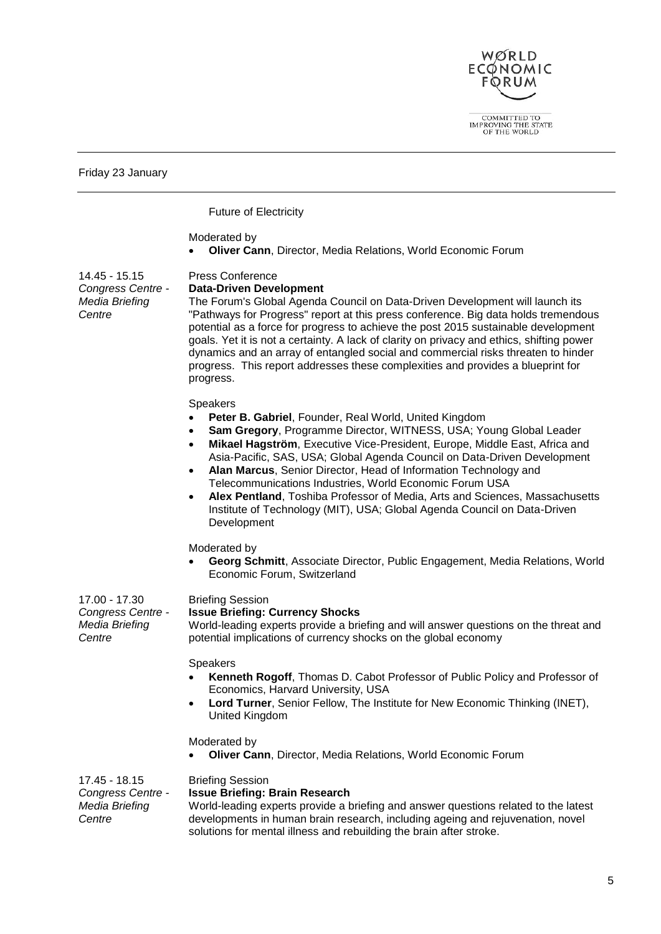

COMMITTED TO IMPROVING THE STATE OF THE WORLD

Friday 23 January

Future of Electricity

#### Moderated by

**Oliver Cann**, Director, Media Relations, World Economic Forum

14.45 - 15.15 *Congress Centre - Media Briefing Centre*

#### Press Conference **Data-Driven Development**

The Forum's Global Agenda Council on Data-Driven Development will launch its "Pathways for Progress" report at this press conference. Big data holds tremendous potential as a force for progress to achieve the post 2015 sustainable development goals. Yet it is not a certainty. A lack of clarity on privacy and ethics, shifting power dynamics and an array of entangled social and commercial risks threaten to hinder progress. This report addresses these complexities and provides a blueprint for progress.

#### **Speakers**

- **Peter B. Gabriel**, Founder, Real World, United Kingdom
- **Sam Gregory**, Programme Director, WITNESS, USA; Young Global Leader
- **Mikael Hagström**, Executive Vice-President, Europe, Middle East, Africa and Asia-Pacific, SAS, USA; Global Agenda Council on Data-Driven Development
- **Alan Marcus**, Senior Director, Head of Information Technology and Telecommunications Industries, World Economic Forum USA
- **Alex Pentland**, Toshiba Professor of Media, Arts and Sciences, Massachusetts Institute of Technology (MIT), USA; Global Agenda Council on Data-Driven Development

#### Moderated by

 **Georg Schmitt**, Associate Director, Public Engagement, Media Relations, World Economic Forum, Switzerland

17.00 - 17.30 *Congress Centre - Media Briefing Centre*

#### Briefing Session **Issue Briefing: Currency Shocks**

World-leading experts provide a briefing and will answer questions on the threat and potential implications of currency shocks on the global economy

#### **Speakers**

- **Kenneth Rogoff**, Thomas D. Cabot Professor of Public Policy and Professor of Economics, Harvard University, USA
- **Lord Turner**, Senior Fellow, The Institute for New Economic Thinking (INET), United Kingdom

Moderated by

**Oliver Cann**, Director, Media Relations, World Economic Forum

#### 17.45 - 18.15 Briefing Session

*Congress Centre - Media Briefing Centre* **Issue Briefing: Brain Research** World-leading experts provide a briefing and answer questions related to the latest developments in human brain research, including ageing and rejuvenation, novel solutions for mental illness and rebuilding the brain after stroke.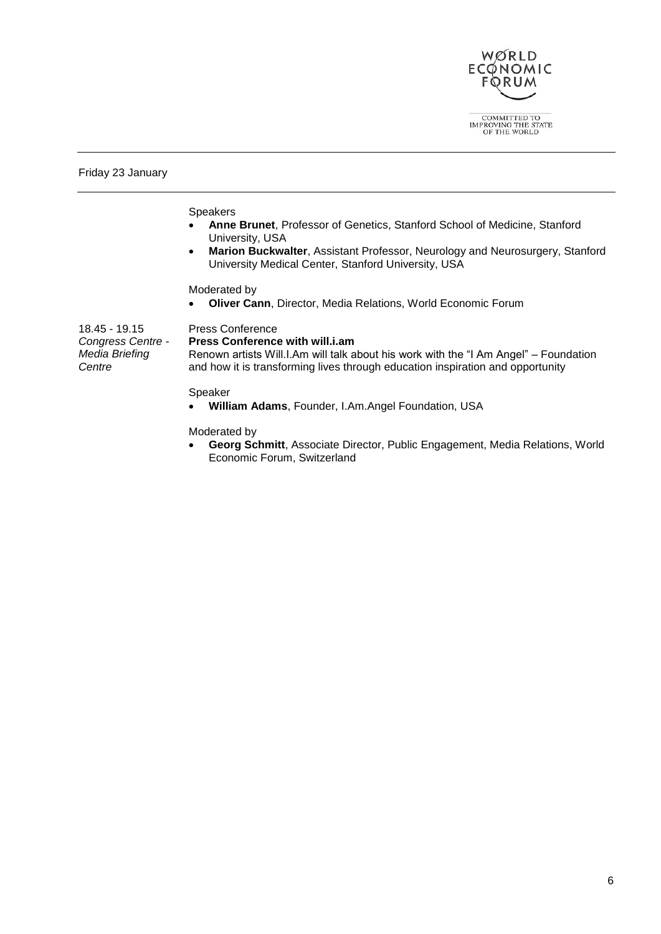

Friday 23 January

Speakers

- **Anne Brunet**, Professor of Genetics, Stanford School of Medicine, Stanford University, USA
- **Marion Buckwalter**, Assistant Professor, Neurology and Neurosurgery, Stanford University Medical Center, Stanford University, USA

Moderated by

**Oliver Cann**, Director, Media Relations, World Economic Forum

| 18.45 - 19.15<br>Congress Centre - | <b>Press Conference</b><br><b>Press Conference with will.i.am</b>                                                                                                      |
|------------------------------------|------------------------------------------------------------------------------------------------------------------------------------------------------------------------|
| Media Briefing<br>Centre           | Renown artists Will.I.Am will talk about his work with the "I Am Angel" – Foundation<br>and how it is transforming lives through education inspiration and opportunity |
|                                    | Speaker                                                                                                                                                                |

**William Adams**, Founder, I.Am.Angel Foundation, USA

Moderated by

 **Georg Schmitt**, Associate Director, Public Engagement, Media Relations, World Economic Forum, Switzerland